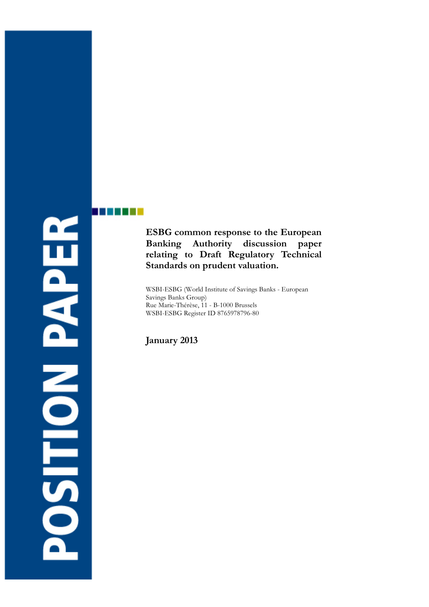# **ROSITION PAPER**

a shekarar 1

# **ESBG common response to the European Banking Authority discussion paper relating to Draft Regulatory Technical Standards on prudent valuation.**

WSBI-ESBG (World Institute of Savings Banks - European Savings Banks Group) Rue Marie-Thérèse, 11 - B-1000 Brussels WSBI-ESBG Register ID 8765978796-80

**January 2013**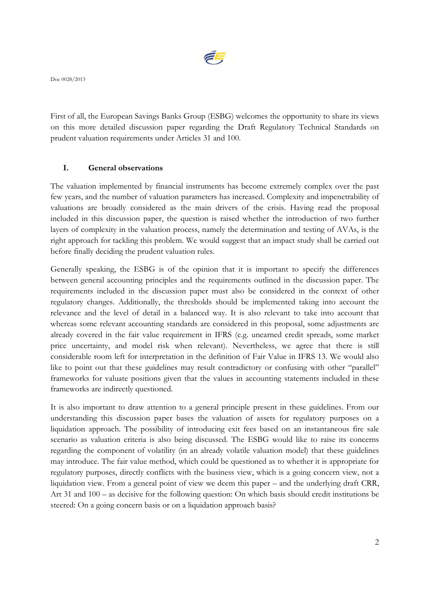

Doc 0028/2013

First of all, the European Savings Banks Group (ESBG) welcomes the opportunity to share its views on this more detailed discussion paper regarding the Draft Regulatory Technical Standards on prudent valuation requirements under Articles 31 and 100.

### **I. General observations**

The valuation implemented by financial instruments has become extremely complex over the past few years, and the number of valuation parameters has increased. Complexity and impenetrability of valuations are broadly considered as the main drivers of the crisis. Having read the proposal included in this discussion paper, the question is raised whether the introduction of two further layers of complexity in the valuation process, namely the determination and testing of AVAs, is the right approach for tackling this problem. We would suggest that an impact study shall be carried out before finally deciding the prudent valuation rules.

Generally speaking, the ESBG is of the opinion that it is important to specify the differences between general accounting principles and the requirements outlined in the discussion paper. The requirements included in the discussion paper must also be considered in the context of other regulatory changes. Additionally, the thresholds should be implemented taking into account the relevance and the level of detail in a balanced way. It is also relevant to take into account that whereas some relevant accounting standards are considered in this proposal, some adjustments are already covered in the fair value requirement in IFRS (e.g. unearned credit spreads, some market price uncertainty, and model risk when relevant). Nevertheless, we agree that there is still considerable room left for interpretation in the definition of Fair Value in IFRS 13. We would also like to point out that these guidelines may result contradictory or confusing with other "parallel" frameworks for valuate positions given that the values in accounting statements included in these frameworks are indirectly questioned.

It is also important to draw attention to a general principle present in these guidelines. From our understanding this discussion paper bases the valuation of assets for regulatory purposes on a liquidation approach. The possibility of introducing exit fees based on an instantaneous fire sale scenario as valuation criteria is also being discussed. The ESBG would like to raise its concerns regarding the component of volatility (in an already volatile valuation model) that these guidelines may introduce. The fair value method, which could be questioned as to whether it is appropriate for regulatory purposes, directly conflicts with the business view, which is a going concern view, not a liquidation view. From a general point of view we deem this paper – and the underlying draft CRR, Art 31 and 100 – as decisive for the following question: On which basis should credit institutions be steered: On a going concern basis or on a liquidation approach basis?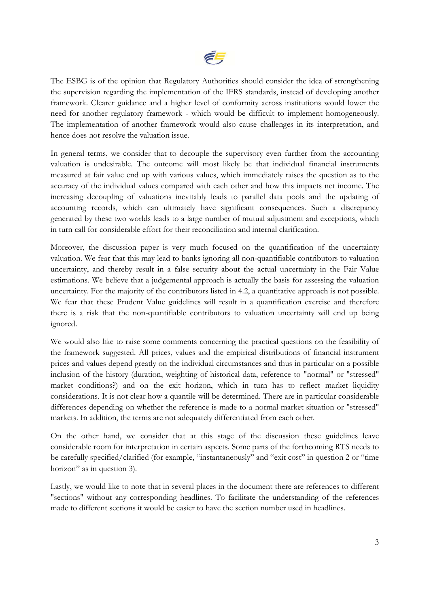

The ESBG is of the opinion that Regulatory Authorities should consider the idea of strengthening the supervision regarding the implementation of the IFRS standards, instead of developing another framework. Clearer guidance and a higher level of conformity across institutions would lower the need for another regulatory framework - which would be difficult to implement homogeneously. The implementation of another framework would also cause challenges in its interpretation, and hence does not resolve the valuation issue.

In general terms, we consider that to decouple the supervisory even further from the accounting valuation is undesirable. The outcome will most likely be that individual financial instruments measured at fair value end up with various values, which immediately raises the question as to the accuracy of the individual values compared with each other and how this impacts net income. The increasing decoupling of valuations inevitably leads to parallel data pools and the updating of accounting records, which can ultimately have significant consequences. Such a discrepancy generated by these two worlds leads to a large number of mutual adjustment and exceptions, which in turn call for considerable effort for their reconciliation and internal clarification.

Moreover, the discussion paper is very much focused on the quantification of the uncertainty valuation. We fear that this may lead to banks ignoring all non-quantifiable contributors to valuation uncertainty, and thereby result in a false security about the actual uncertainty in the Fair Value estimations. We believe that a judgemental approach is actually the basis for assessing the valuation uncertainty. For the majority of the contributors listed in 4.2, a quantitative approach is not possible. We fear that these Prudent Value guidelines will result in a quantification exercise and therefore there is a risk that the non-quantifiable contributors to valuation uncertainty will end up being ignored.

We would also like to raise some comments concerning the practical questions on the feasibility of the framework suggested. All prices, values and the empirical distributions of financial instrument prices and values depend greatly on the individual circumstances and thus in particular on a possible inclusion of the history (duration, weighting of historical data, reference to "normal" or "stressed" market conditions?) and on the exit horizon, which in turn has to reflect market liquidity considerations. It is not clear how a quantile will be determined. There are in particular considerable differences depending on whether the reference is made to a normal market situation or "stressed" markets. In addition, the terms are not adequately differentiated from each other.

On the other hand, we consider that at this stage of the discussion these guidelines leave considerable room for interpretation in certain aspects. Some parts of the forthcoming RTS needs to be carefully specified/clarified (for example, "instantaneously" and "exit cost" in question 2 or "time horizon" as in question 3).

Lastly, we would like to note that in several places in the document there are references to different "sections" without any corresponding headlines. To facilitate the understanding of the references made to different sections it would be easier to have the section number used in headlines.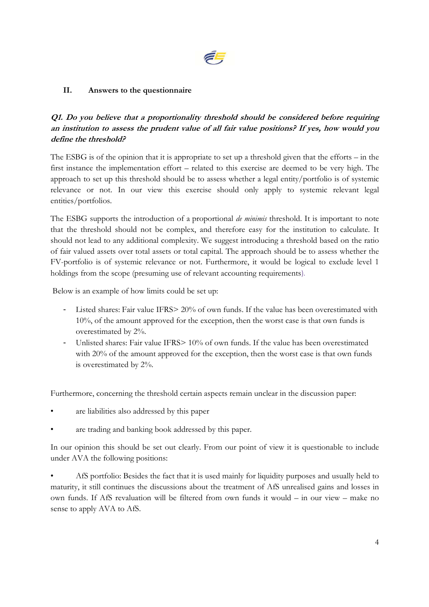

### **II. Answers to the questionnaire**

### **Q1. Do you believe that a proportionality threshold should be considered before requiring an institution to assess the prudent value of all fair value positions? If yes, how would you define the threshold?**

The ESBG is of the opinion that it is appropriate to set up a threshold given that the efforts – in the first instance the implementation effort – related to this exercise are deemed to be very high. The approach to set up this threshold should be to assess whether a legal entity/portfolio is of systemic relevance or not. In our view this exercise should only apply to systemic relevant legal entities/portfolios.

The ESBG supports the introduction of a proportional *de minimis* threshold. It is important to note that the threshold should not be complex, and therefore easy for the institution to calculate. It should not lead to any additional complexity. We suggest introducing a threshold based on the ratio of fair valued assets over total assets or total capital. The approach should be to assess whether the FV-portfolio is of systemic relevance or not. Furthermore, it would be logical to exclude level 1 holdings from the scope (presuming use of relevant accounting requirements).

Below is an example of how limits could be set up:

- Listed shares: Fair value IFRS> 20% of own funds. If the value has been overestimated with 10%, of the amount approved for the exception, then the worst case is that own funds is overestimated by 2%.
- Unlisted shares: Fair value IFRS> 10% of own funds. If the value has been overestimated with 20% of the amount approved for the exception, then the worst case is that own funds is overestimated by 2%.

Furthermore, concerning the threshold certain aspects remain unclear in the discussion paper:

- are liabilities also addressed by this paper
- are trading and banking book addressed by this paper.

In our opinion this should be set out clearly. From our point of view it is questionable to include under AVA the following positions:

• AfS portfolio: Besides the fact that it is used mainly for liquidity purposes and usually held to maturity, it still continues the discussions about the treatment of AfS unrealised gains and losses in own funds. If AfS revaluation will be filtered from own funds it would – in our view – make no sense to apply AVA to AfS.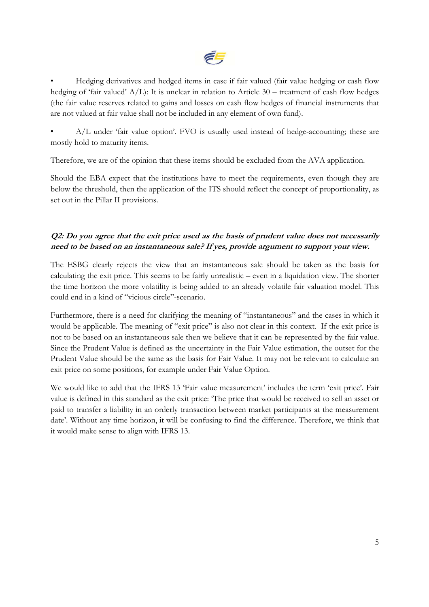

• Hedging derivatives and hedged items in case if fair valued (fair value hedging or cash flow hedging of 'fair valued' A/L): It is unclear in relation to Article 30 – treatment of cash flow hedges (the fair value reserves related to gains and losses on cash flow hedges of financial instruments that are not valued at fair value shall not be included in any element of own fund).

• A/L under 'fair value option'. FVO is usually used instead of hedge-accounting; these are mostly hold to maturity items.

Therefore, we are of the opinion that these items should be excluded from the AVA application.

Should the EBA expect that the institutions have to meet the requirements, even though they are below the threshold, then the application of the ITS should reflect the concept of proportionality, as set out in the Pillar II provisions.

# **Q2: Do you agree that the exit price used as the basis of prudent value does not necessarily need to be based on an instantaneous sale? If yes, provide argument to support your view.**

The ESBG clearly rejects the view that an instantaneous sale should be taken as the basis for calculating the exit price. This seems to be fairly unrealistic – even in a liquidation view. The shorter the time horizon the more volatility is being added to an already volatile fair valuation model. This could end in a kind of "vicious circle"-scenario.

Furthermore, there is a need for clarifying the meaning of "instantaneous" and the cases in which it would be applicable. The meaning of "exit price" is also not clear in this context. If the exit price is not to be based on an instantaneous sale then we believe that it can be represented by the fair value. Since the Prudent Value is defined as the uncertainty in the Fair Value estimation, the outset for the Prudent Value should be the same as the basis for Fair Value. It may not be relevant to calculate an exit price on some positions, for example under Fair Value Option.

We would like to add that the IFRS 13 'Fair value measurement' includes the term 'exit price'. Fair value is defined in this standard as the exit price: 'The price that would be received to sell an asset or paid to transfer a liability in an orderly transaction between market participants at the measurement date'. Without any time horizon, it will be confusing to find the difference. Therefore, we think that it would make sense to align with IFRS 13.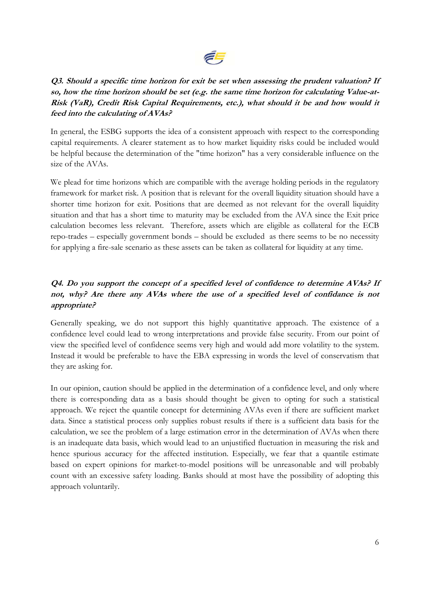

# **Q3. Should a specific time horizon for exit be set when assessing the prudent valuation? If so, how the time horizon should be set (e.g. the same time horizon for calculating Value-at-Risk (VaR), Credit Risk Capital Requirements, etc.), what should it be and how would it feed into the calculating of AVAs?**

In general, the ESBG supports the idea of a consistent approach with respect to the corresponding capital requirements. A clearer statement as to how market liquidity risks could be included would be helpful because the determination of the "time horizon" has a very considerable influence on the size of the AVAs.

We plead for time horizons which are compatible with the average holding periods in the regulatory framework for market risk. A position that is relevant for the overall liquidity situation should have a shorter time horizon for exit. Positions that are deemed as not relevant for the overall liquidity situation and that has a short time to maturity may be excluded from the AVA since the Exit price calculation becomes less relevant. Therefore, assets which are eligible as collateral for the ECB repo-trades – especially government bonds – should be excluded as there seems to be no necessity for applying a fire-sale scenario as these assets can be taken as collateral for liquidity at any time.

# **Q4. Do you support the concept of a specified level of confidence to determine AVAs? If not, why? Are there any AVAs where the use of a specified level of confidance is not appropriate?**

Generally speaking, we do not support this highly quantitative approach. The existence of a confidence level could lead to wrong interpretations and provide false security. From our point of view the specified level of confidence seems very high and would add more volatility to the system. Instead it would be preferable to have the EBA expressing in words the level of conservatism that they are asking for.

In our opinion, caution should be applied in the determination of a confidence level, and only where there is corresponding data as a basis should thought be given to opting for such a statistical approach. We reject the quantile concept for determining AVAs even if there are sufficient market data. Since a statistical process only supplies robust results if there is a sufficient data basis for the calculation, we see the problem of a large estimation error in the determination of AVAs when there is an inadequate data basis, which would lead to an unjustified fluctuation in measuring the risk and hence spurious accuracy for the affected institution. Especially, we fear that a quantile estimate based on expert opinions for market-to-model positions will be unreasonable and will probably count with an excessive safety loading. Banks should at most have the possibility of adopting this approach voluntarily.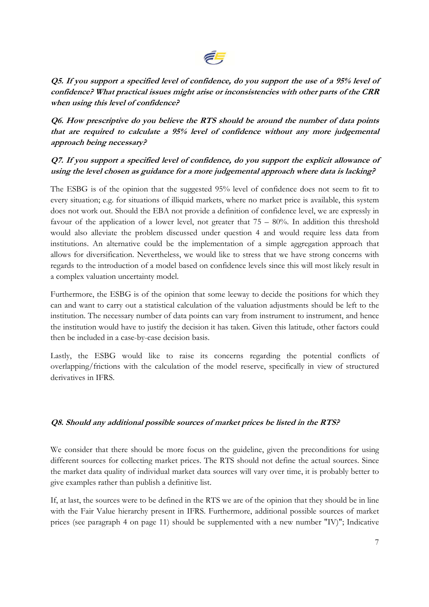# E.

**Q5. If you support a specified level of confidence, do you support the use of a 95% level of confidence? What practical issues might arise or inconsistencies with other parts of the CRR when using this level of confidence?** 

**Q6. How prescriptive do you believe the RTS should be around the number of data points that are required to calculate a 95% level of confidence without any more judgemental approach being necessary?** 

### **Q7. If you support a specified level of confidence, do you support the explicit allowance of using the level chosen as guidance for a more judgemental approach where data is lacking?**

The ESBG is of the opinion that the suggested 95% level of confidence does not seem to fit to every situation; e.g. for situations of illiquid markets, where no market price is available, this system does not work out. Should the EBA not provide a definition of confidence level, we are expressly in favour of the application of a lower level, not greater that 75 – 80%. In addition this threshold would also alleviate the problem discussed under question 4 and would require less data from institutions. An alternative could be the implementation of a simple aggregation approach that allows for diversification. Nevertheless, we would like to stress that we have strong concerns with regards to the introduction of a model based on confidence levels since this will most likely result in a complex valuation uncertainty model.

Furthermore, the ESBG is of the opinion that some leeway to decide the positions for which they can and want to carry out a statistical calculation of the valuation adjustments should be left to the institution. The necessary number of data points can vary from instrument to instrument, and hence the institution would have to justify the decision it has taken. Given this latitude, other factors could then be included in a case-by-case decision basis.

Lastly, the ESBG would like to raise its concerns regarding the potential conflicts of overlapping/frictions with the calculation of the model reserve, specifically in view of structured derivatives in IFRS.

### **Q8. Should any additional possible sources of market prices be listed in the RTS?**

We consider that there should be more focus on the guideline, given the preconditions for using different sources for collecting market prices. The RTS should not define the actual sources. Since the market data quality of individual market data sources will vary over time, it is probably better to give examples rather than publish a definitive list.

If, at last, the sources were to be defined in the RTS we are of the opinion that they should be in line with the Fair Value hierarchy present in IFRS. Furthermore, additional possible sources of market prices (see paragraph 4 on page 11) should be supplemented with a new number "IV)"; Indicative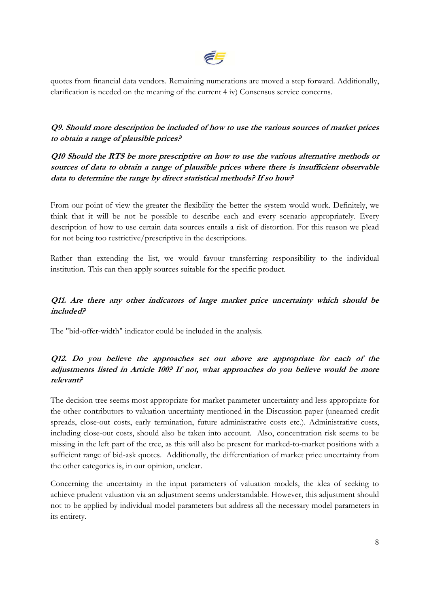

quotes from financial data vendors. Remaining numerations are moved a step forward. Additionally, clarification is needed on the meaning of the current 4 iv) Consensus service concerns.

**Q9. Should more description be included of how to use the various sources of market prices to obtain a range of plausible prices?** 

**Q10 Should the RTS be more prescriptive on how to use the various alternative methods or sources of data to obtain a range of plausible prices where there is insufficient observable data to determine the range by direct statistical methods? If so how?** 

From our point of view the greater the flexibility the better the system would work. Definitely, we think that it will be not be possible to describe each and every scenario appropriately. Every description of how to use certain data sources entails a risk of distortion. For this reason we plead for not being too restrictive/prescriptive in the descriptions.

Rather than extending the list, we would favour transferring responsibility to the individual institution. This can then apply sources suitable for the specific product.

### **Q11. Are there any other indicators of large market price uncertainty which should be included?**

The "bid-offer-width" indicator could be included in the analysis.

### **Q12. Do you believe the approaches set out above are appropriate for each of the adjustments listed in Article 100? If not, what approaches do you believe would be more relevant?**

The decision tree seems most appropriate for market parameter uncertainty and less appropriate for the other contributors to valuation uncertainty mentioned in the Discussion paper (unearned credit spreads, close-out costs, early termination, future administrative costs etc.). Administrative costs, including close-out costs, should also be taken into account. Also, concentration risk seems to be missing in the left part of the tree, as this will also be present for marked-to-market positions with a sufficient range of bid-ask quotes. Additionally, the differentiation of market price uncertainty from the other categories is, in our opinion, unclear.

Concerning the uncertainty in the input parameters of valuation models, the idea of seeking to achieve prudent valuation via an adjustment seems understandable. However, this adjustment should not to be applied by individual model parameters but address all the necessary model parameters in its entirety.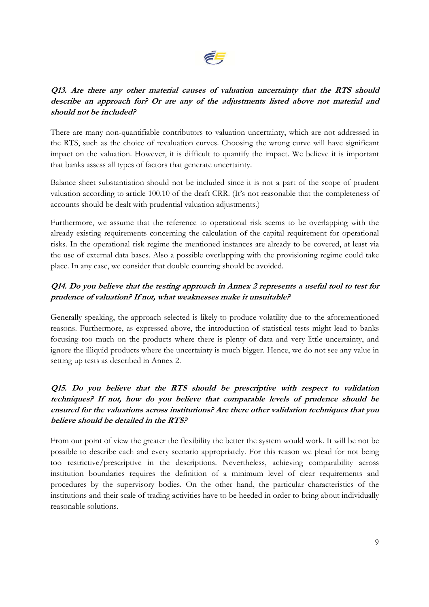

### **Q13. Are there any other material causes of valuation uncertainty that the RTS should describe an approach for? Or are any of the adjustments listed above not material and should not be included?**

There are many non-quantifiable contributors to valuation uncertainty, which are not addressed in the RTS, such as the choice of revaluation curves. Choosing the wrong curve will have significant impact on the valuation. However, it is difficult to quantify the impact. We believe it is important that banks assess all types of factors that generate uncertainty.

Balance sheet substantiation should not be included since it is not a part of the scope of prudent valuation according to article 100.10 of the draft CRR. (It's not reasonable that the completeness of accounts should be dealt with prudential valuation adjustments.)

Furthermore, we assume that the reference to operational risk seems to be overlapping with the already existing requirements concerning the calculation of the capital requirement for operational risks. In the operational risk regime the mentioned instances are already to be covered, at least via the use of external data bases. Also a possible overlapping with the provisioning regime could take place. In any case, we consider that double counting should be avoided.

# **Q14. Do you believe that the testing approach in Annex 2 represents a useful tool to test for prudence of valuation? If not, what weaknesses make it unsuitable?**

Generally speaking, the approach selected is likely to produce volatility due to the aforementioned reasons. Furthermore, as expressed above, the introduction of statistical tests might lead to banks focusing too much on the products where there is plenty of data and very little uncertainty, and ignore the illiquid products where the uncertainty is much bigger. Hence, we do not see any value in setting up tests as described in Annex 2.

# **Q15. Do you believe that the RTS should be prescriptive with respect to validation techniques? If not, how do you believe that comparable levels of prudence should be ensured for the valuations across institutions? Are there other validation techniques that you believe should be detailed in the RTS?**

From our point of view the greater the flexibility the better the system would work. It will be not be possible to describe each and every scenario appropriately. For this reason we plead for not being too restrictive/prescriptive in the descriptions. Nevertheless, achieving comparability across institution boundaries requires the definition of a minimum level of clear requirements and procedures by the supervisory bodies. On the other hand, the particular characteristics of the institutions and their scale of trading activities have to be heeded in order to bring about individually reasonable solutions.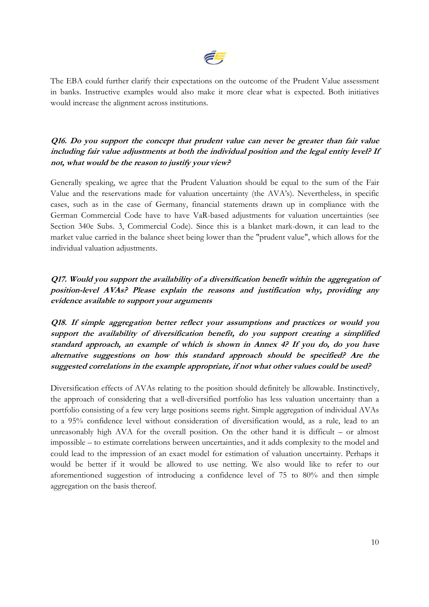

The EBA could further clarify their expectations on the outcome of the Prudent Value assessment in banks. Instructive examples would also make it more clear what is expected. Both initiatives would increase the alignment across institutions.

### **Q16. Do you support the concept that prudent value can never be greater than fair value including fair value adjustments at both the individual position and the legal entity level? If not, what would be the reason to justify your view?**

Generally speaking, we agree that the Prudent Valuation should be equal to the sum of the Fair Value and the reservations made for valuation uncertainty (the AVA's). Nevertheless, in specific cases, such as in the case of Germany, financial statements drawn up in compliance with the German Commercial Code have to have VaR-based adjustments for valuation uncertainties (see Section 340e Subs. 3, Commercial Code). Since this is a blanket mark-down, it can lead to the market value carried in the balance sheet being lower than the "prudent value", which allows for the individual valuation adjustments.

**Q17. Would you support the availability of a diversification benefit within the aggregation of position-level AVAs? Please explain the reasons and justification why, providing any evidence available to support your arguments** 

**Q18. If simple aggregation better reflect your assumptions and practices or would you support the availability of diversification benefit, do you support creating a simplified standard approach, an example of which is shown in Annex 4? If you do, do you have alternative suggestions on how this standard approach should be specified? Are the suggested correlations in the example appropriate, if not what other values could be used?** 

Diversification effects of AVAs relating to the position should definitely be allowable. Instinctively, the approach of considering that a well-diversified portfolio has less valuation uncertainty than a portfolio consisting of a few very large positions seems right. Simple aggregation of individual AVAs to a 95% confidence level without consideration of diversification would, as a rule, lead to an unreasonably high AVA for the overall position. On the other hand it is difficult – or almost impossible – to estimate correlations between uncertainties, and it adds complexity to the model and could lead to the impression of an exact model for estimation of valuation uncertainty. Perhaps it would be better if it would be allowed to use netting. We also would like to refer to our aforementioned suggestion of introducing a confidence level of 75 to 80% and then simple aggregation on the basis thereof.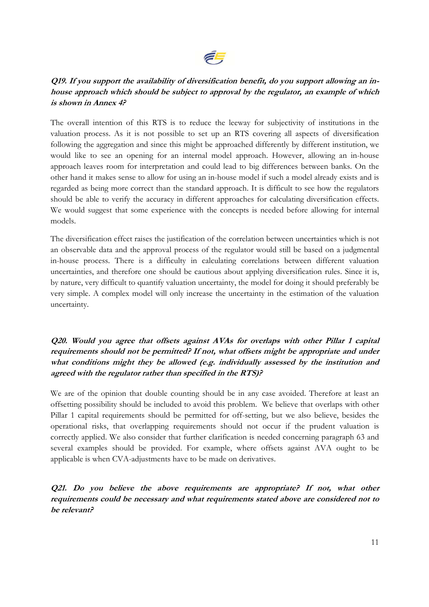

# **Q19. If you support the availability of diversification benefit, do you support allowing an inhouse approach which should be subject to approval by the regulator, an example of which is shown in Annex 4?**

The overall intention of this RTS is to reduce the leeway for subjectivity of institutions in the valuation process. As it is not possible to set up an RTS covering all aspects of diversification following the aggregation and since this might be approached differently by different institution, we would like to see an opening for an internal model approach. However, allowing an in-house approach leaves room for interpretation and could lead to big differences between banks. On the other hand it makes sense to allow for using an in-house model if such a model already exists and is regarded as being more correct than the standard approach. It is difficult to see how the regulators should be able to verify the accuracy in different approaches for calculating diversification effects. We would suggest that some experience with the concepts is needed before allowing for internal models.

The diversification effect raises the justification of the correlation between uncertainties which is not an observable data and the approval process of the regulator would still be based on a judgmental in-house process. There is a difficulty in calculating correlations between different valuation uncertainties, and therefore one should be cautious about applying diversification rules. Since it is, by nature, very difficult to quantify valuation uncertainty, the model for doing it should preferably be very simple. A complex model will only increase the uncertainty in the estimation of the valuation uncertainty.

### **Q20. Would you agree that offsets against AVAs for overlaps with other Pillar 1 capital requirements should not be permitted? If not, what offsets might be appropriate and under what conditions might they be allowed (e.g. individually assessed by the institution and agreed with the regulator rather than specified in the RTS)?**

We are of the opinion that double counting should be in any case avoided. Therefore at least an offsetting possibility should be included to avoid this problem. We believe that overlaps with other Pillar 1 capital requirements should be permitted for off-setting, but we also believe, besides the operational risks, that overlapping requirements should not occur if the prudent valuation is correctly applied. We also consider that further clarification is needed concerning paragraph 63 and several examples should be provided. For example, where offsets against AVA ought to be applicable is when CVA-adjustments have to be made on derivatives.

**Q21. Do you believe the above requirements are appropriate? If not, what other requirements could be necessary and what requirements stated above are considered not to be relevant?**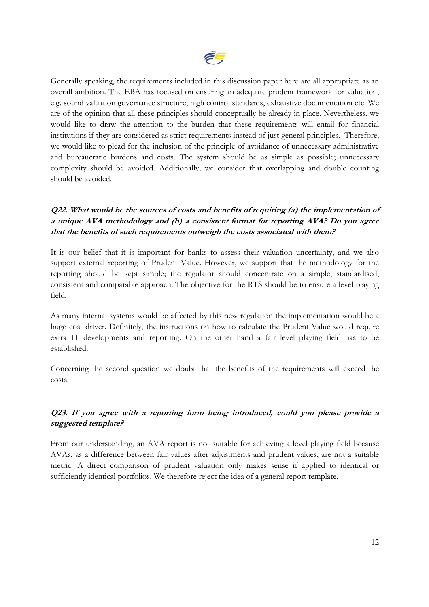

Generally speaking, the requirements included in this discussion paper here are all appropriate as an overall ambition. The EBA has focused on ensuring an adequate prudent framework for valuation, e.g. sound valuation governance structure, high control standards, exhaustive documentation etc. We are of the opinion that all these principles should conceptually be already in place. Nevertheless, we would like to draw the attention to the burden that these requirements will entail for financial institutions if they are considered as strict requirements instead of just general principles. Therefore, we would like to plead for the inclusion of the principle of avoidance of unnecessary administrative and bureaucratic burdens and costs. The system should be as simple as possible; unnecessary complexity should be avoided. Additionally, we consider that overlapping and double counting should be avoided.

# **Q22. What would be the sources of costs and benefits of requiring (a) the implementation of a unique AVA methodology and (b) a consistent format for reporting AVA? Do you agree that the benefits of such requirements outweigh the costs associated with them?**

It is our belief that it is important for banks to assess their valuation uncertainty, and we also support external reporting of Prudent Value. However, we support that the methodology for the reporting should be kept simple; the regulator should concentrate on a simple, standardised, consistent and comparable approach. The objective for the RTS should be to ensure a level playing field.

As many internal systems would be affected by this new regulation the implementation would be a huge cost driver. Definitely, the instructions on how to calculate the Prudent Value would require extra IT developments and reporting. On the other hand a fair level playing field has to be established.

Concerning the second question we doubt that the benefits of the requirements will exceed the costs.

### **Q23. If you agree with a reporting form being introduced, could you please provide a suggested template?**

From our understanding, an AVA report is not suitable for achieving a level playing field because AVAs, as a difference between fair values after adjustments and prudent values, are not a suitable metric. A direct comparison of prudent valuation only makes sense if applied to identical or sufficiently identical portfolios. We therefore reject the idea of a general report template.